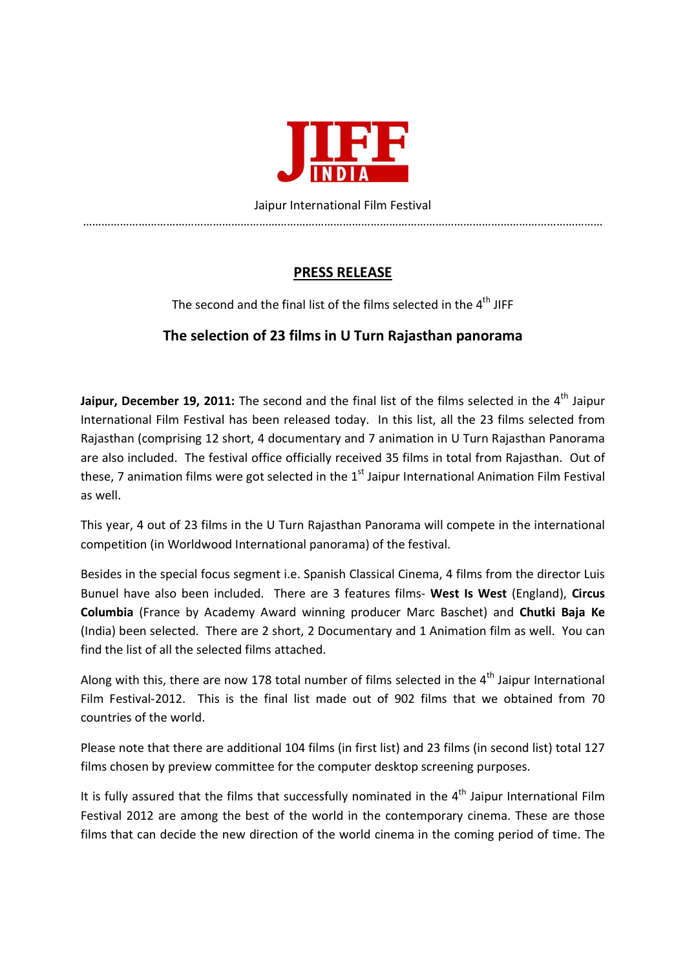

Jaipur International Film Festival ……………………………………………………………………………………………………………………………………………………

## **PRESS RELEASE**

The second and the final list of the films selected in the  $4<sup>th</sup>$  JIFF

## **The selection of 23 films in U Turn Rajasthan panorama**

Jaipur, December 19, 2011: The second and the final list of the films selected in the 4<sup>th</sup> Jaipur International Film Festival has been released today. In this list, all the 23 films selected from Rajasthan (comprising 12 short, 4 documentary and 7 animation in U Turn Rajasthan Panorama are also included. The festival office officially received 35 films in total from Rajasthan. Out of these, 7 animation films were got selected in the  $1<sup>st</sup>$  Jaipur International Animation Film Festival as well.

This year, 4 out of 23 films in the U Turn Rajasthan Panorama will compete in the international competition (in Worldwood International panorama) of the festival.

Besides in the special focus segment i.e. Spanish Classical Cinema, 4 films from the director Luis Bunuel have also been included. There are 3 features films- **West Is West** (England), **Circus Columbia** (France by Academy Award winning producer Marc Baschet) and **Chutki Baja Ke** (India) been selected. There are 2 short, 2 Documentary and 1 Animation film as well. You can find the list of all the selected films attached.

Along with this, there are now 178 total number of films selected in the 4<sup>th</sup> Jaipur International Film Festival-2012. This is the final list made out of 902 films that we obtained from 70 countries of the world.

Please note that there are additional 104 films (in first list) and 23 films (in second list) total 127 films chosen by preview committee for the computer desktop screening purposes.

It is fully assured that the films that successfully nominated in the  $4<sup>th</sup>$  Jaipur International Film Festival 2012 are among the best of the world in the contemporary cinema. These are those films that can decide the new direction of the world cinema in the coming period of time. The